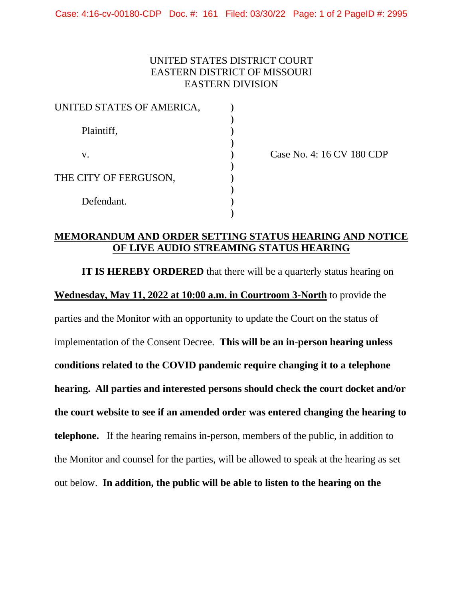## UNITED STATES DISTRICT COURT EASTERN DISTRICT OF MISSOURI EASTERN DIVISION

| UNITED STATES OF AMERICA, |  |
|---------------------------|--|
| Plaintiff,                |  |
| V.                        |  |
| THE CITY OF FERGUSON,     |  |
| Defendant.                |  |
|                           |  |

Case No. 4: 16 CV 180 CDP

## **MEMORANDUM AND ORDER SETTING STATUS HEARING AND NOTICE OF LIVE AUDIO STREAMING STATUS HEARING**

**IT IS HEREBY ORDERED** that there will be a quarterly status hearing on

**Wednesday, May 11, 2022 at 10:00 a.m. in Courtroom 3-North** to provide the

parties and the Monitor with an opportunity to update the Court on the status of implementation of the Consent Decree. **This will be an in-person hearing unless conditions related to the COVID pandemic require changing it to a telephone hearing. All parties and interested persons should check the court docket and/or the court website to see if an amended order was entered changing the hearing to telephone.** If the hearing remains in-person, members of the public, in addition to the Monitor and counsel for the parties, will be allowed to speak at the hearing as set out below. **In addition, the public will be able to listen to the hearing on the**